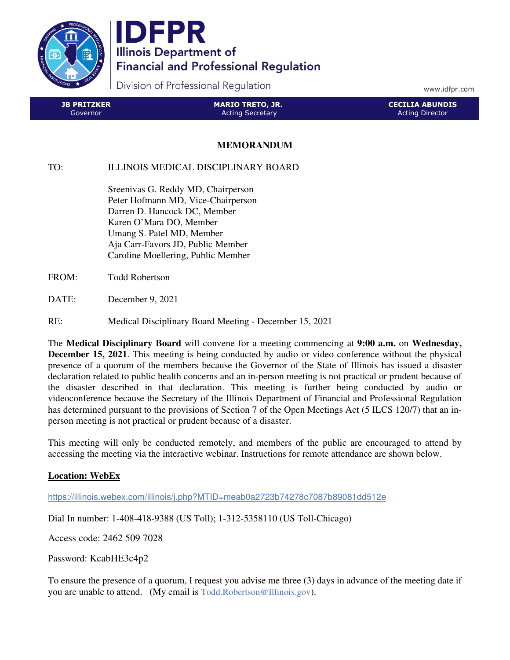

**IDFPR Illinois Department of Financial and Professional Regulation** 

Division of Professional Regulation

www.idfpr.com

| <b>JB PRITZKER</b> | <b>MARIO TRETO, JR.</b> | <b>CECILIA ABUNDIS</b> |
|--------------------|-------------------------|------------------------|
| Governor.          | <b>Acting Secretary</b> | <b>Acting Director</b> |

## **MEMORANDUM**

TO: ILLINOIS MEDICAL DISCIPLINARY BOARD

 Sreenivas G. Reddy MD, Chairperson Peter Hofmann MD, Vice-Chairperson Darren D. Hancock DC, Member Karen O'Mara DO, Member Umang S. Patel MD, Member Aja Carr-Favors JD, Public Member Caroline Moellering, Public Member

FROM: Todd Robertson

DATE: December 9, 2021

RE: Medical Disciplinary Board Meeting - December 15, 2021

The **Medical Disciplinary Board** will convene for a meeting commencing at **9:00 a.m.** on **Wednesday, December 15, 2021**. This meeting is being conducted by audio or video conference without the physical presence of a quorum of the members because the Governor of the State of Illinois has issued a disaster declaration related to public health concerns and an in-person meeting is not practical or prudent because of the disaster described in that declaration. This meeting is further being conducted by audio or videoconference because the Secretary of the Illinois Department of Financial and Professional Regulation has determined pursuant to the provisions of Section 7 of the Open Meetings Act (5 ILCS 120/7) that an inperson meeting is not practical or prudent because of a disaster.

This meeting will only be conducted remotely, and members of the public are encouraged to attend by accessing the meeting via the interactive webinar. Instructions for remote attendance are shown below.

## **Location: WebEx**

https://illinois.webex.com/illinois/j.php?MTID=meab0a2723b74278c7087b89081dd512e

Dial In number: 1-408-418-9388 (US Toll); 1-312-5358110 (US Toll-Chicago)

Access code: 2462 509 7028

Password: KcabHE3c4p2

To ensure the presence of a quorum, I request you advise me three (3) days in advance of the meeting date if you are unable to attend. (My email is Todd.Robertson@Illinois.gov).